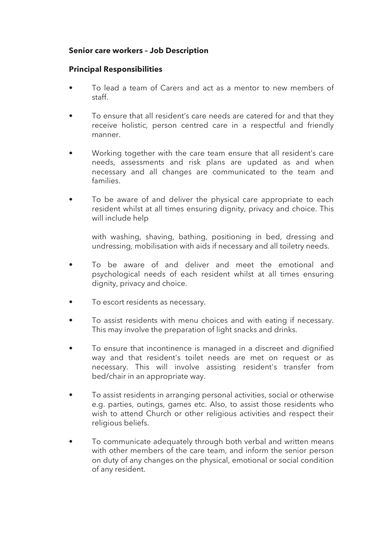## **Senior care workers – Job Description**

## **Principal Responsibilities**

- To lead a team of Carers and act as a mentor to new members of staff.
- To ensure that all resident's care needs are catered for and that they receive holistic, person centred care in a respectful and friendly manner.
- Working together with the care team ensure that all resident's care needs, assessments and risk plans are updated as and when necessary and all changes are communicated to the team and families.
- To be aware of and deliver the physical care appropriate to each resident whilst at all times ensuring dignity, privacy and choice. This will include help

with washing, shaving, bathing, positioning in bed, dressing and undressing, mobilisation with aids if necessary and all toiletry needs.

- To be aware of and deliver and meet the emotional and psychological needs of each resident whilst at all times ensuring dignity, privacy and choice.
- To escort residents as necessary.
- To assist residents with menu choices and with eating if necessary. This may involve the preparation of light snacks and drinks.
- To ensure that incontinence is managed in a discreet and dignified way and that resident's toilet needs are met on request or as necessary. This will involve assisting resident's transfer from bed/chair in an appropriate way.
- To assist residents in arranging personal activities, social or otherwise e.g. parties, outings, games etc. Also, to assist those residents who wish to attend Church or other religious activities and respect their religious beliefs.
- To communicate adequately through both verbal and written means with other members of the care team, and inform the senior person on duty of any changes on the physical, emotional or social condition of any resident.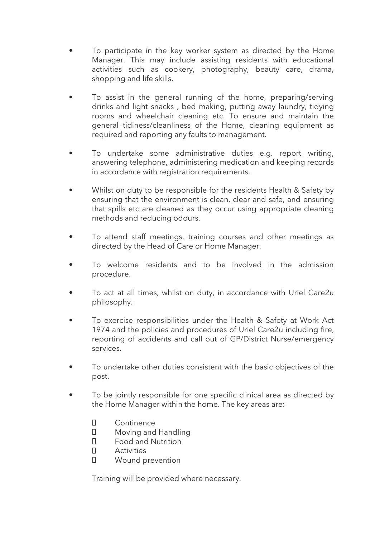- To participate in the key worker system as directed by the Home Manager. This may include assisting residents with educational activities such as cookery, photography, beauty care, drama, shopping and life skills.
- To assist in the general running of the home, preparing/serving drinks and light snacks , bed making, putting away laundry, tidying rooms and wheelchair cleaning etc. To ensure and maintain the general tidiness/cleanliness of the Home, cleaning equipment as required and reporting any faults to management.
- To undertake some administrative duties e.g. report writing, answering telephone, administering medication and keeping records in accordance with registration requirements.
- Whilst on duty to be responsible for the residents Health & Safety by ensuring that the environment is clean, clear and safe, and ensuring that spills etc are cleaned as they occur using appropriate cleaning methods and reducing odours.
- To attend staff meetings, training courses and other meetings as directed by the Head of Care or Home Manager.
- To welcome residents and to be involved in the admission procedure.
- To act at all times, whilst on duty, in accordance with Uriel Care2u philosophy.
- To exercise responsibilities under the Health & Safety at Work Act 1974 and the policies and procedures of Uriel Care2u including fire, reporting of accidents and call out of GP/District Nurse/emergency services.
- To undertake other duties consistent with the basic objectives of the post.
- To be jointly responsible for one specific clinical area as directed by the Home Manager within the home. The key areas are:
	- $\Box$ **Continence**
	- $\Box$ Moving and Handling
	- $\Box$ Food and Nutrition
	- $\Box$ **Activities**
	- $\Box$ Wound prevention

Training will be provided where necessary.